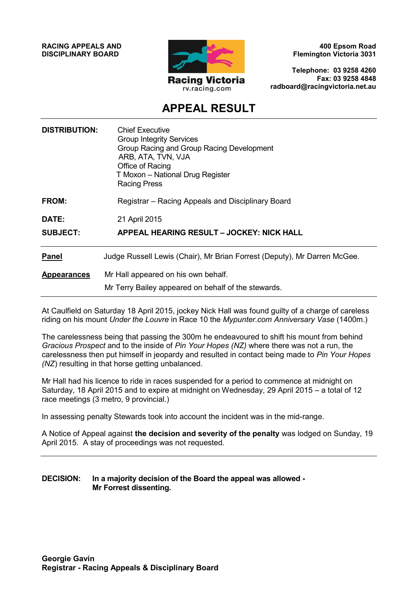**RACING APPEALS AND DISCIPLINARY BOARD**



**400 Epsom Road Flemington Victoria 3031**

**Telephone: 03 9258 4260 Fax: 03 9258 4848 radboard@racingvictoria.net.au**

## **APPEAL RESULT**

| <b>DISTRIBUTION:</b> | <b>Chief Executive</b><br><b>Group Integrity Services</b><br>Group Racing and Group Racing Development<br>ARB, ATA, TVN, VJA<br>Office of Racing<br>T Moxon - National Drug Register<br><b>Racing Press</b> |
|----------------------|-------------------------------------------------------------------------------------------------------------------------------------------------------------------------------------------------------------|
| <b>FROM:</b>         | Registrar - Racing Appeals and Disciplinary Board                                                                                                                                                           |
| DATE:                | 21 April 2015                                                                                                                                                                                               |
| <b>SUBJECT:</b>      | <b>APPEAL HEARING RESULT - JOCKEY: NICK HALL</b>                                                                                                                                                            |
| <b>Panel</b>         | Judge Russell Lewis (Chair), Mr Brian Forrest (Deputy), Mr Darren McGee.                                                                                                                                    |
| <b>Appearances</b>   | Mr Hall appeared on his own behalf.                                                                                                                                                                         |
|                      | Mr Terry Bailey appeared on behalf of the stewards.                                                                                                                                                         |
|                      |                                                                                                                                                                                                             |

At Caulfield on Saturday 18 April 2015, jockey Nick Hall was found guilty of a charge of careless riding on his mount *Under the Louvre* in Race 10 the *Mypunter.com Anniversary Vase* (1400m.)

The carelessness being that passing the 300m he endeavoured to shift his mount from behind *Gracious Prospect* and to the inside of *Pin Your Hopes (NZ)* where there was not a run, the carelessness then put himself in jeopardy and resulted in contact being made to *Pin Your Hopes (NZ*) resulting in that horse getting unbalanced.

Mr Hall had his licence to ride in races suspended for a period to commence at midnight on Saturday, 18 April 2015 and to expire at midnight on Wednesday, 29 April 2015 – a total of 12 race meetings (3 metro, 9 provincial.)

In assessing penalty Stewards took into account the incident was in the mid-range.

A Notice of Appeal against **the decision and severity of the penalty** was lodged on Sunday, 19 April 2015. A stay of proceedings was not requested.

#### **DECISION: In a majority decision of the Board the appeal was allowed - Mr Forrest dissenting.**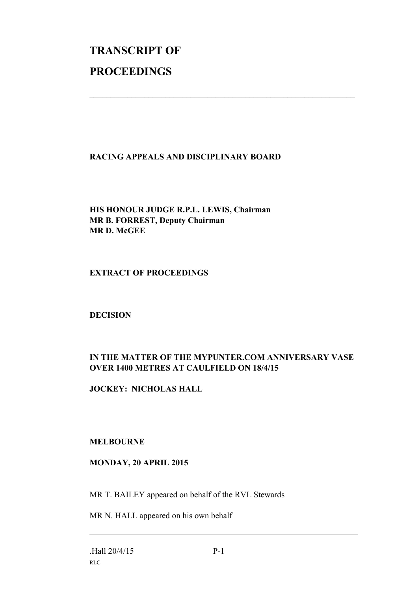# **TRANSCRIPT OF PROCEEDINGS**

#### **RACING APPEALS AND DISCIPLINARY BOARD**

 $\_$  , and the set of the set of the set of the set of the set of the set of the set of the set of the set of the set of the set of the set of the set of the set of the set of the set of the set of the set of the set of th

**HIS HONOUR JUDGE R.P.L. LEWIS, Chairman MR B. FORREST, Deputy Chairman MR D. McGEE**

#### **EXTRACT OF PROCEEDINGS**

#### **DECISION**

### **IN THE MATTER OF THE MYPUNTER.COM ANNIVERSARY VASE OVER 1400 METRES AT CAULFIELD ON 18/4/15**

**JOCKEY: NICHOLAS HALL**

#### **MELBOURNE**

#### **MONDAY, 20 APRIL 2015**

MR T. BAILEY appeared on behalf of the RVL Stewards

MR N. HALL appeared on his own behalf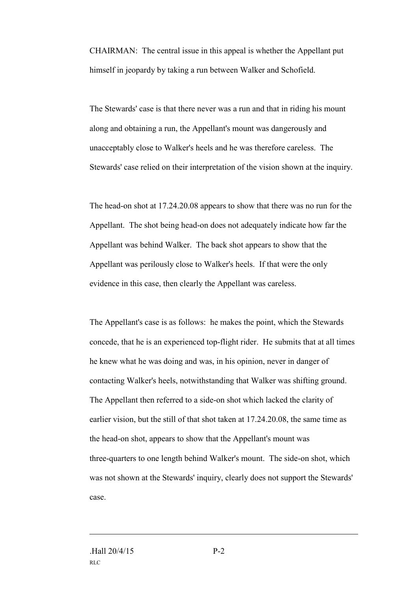CHAIRMAN: The central issue in this appeal is whether the Appellant put himself in jeopardy by taking a run between Walker and Schofield.

The Stewards' case is that there never was a run and that in riding his mount along and obtaining a run, the Appellant's mount was dangerously and unacceptably close to Walker's heels and he was therefore careless. The Stewards' case relied on their interpretation of the vision shown at the inquiry.

The head-on shot at 17.24.20.08 appears to show that there was no run for the Appellant. The shot being head-on does not adequately indicate how far the Appellant was behind Walker. The back shot appears to show that the Appellant was perilously close to Walker's heels. If that were the only evidence in this case, then clearly the Appellant was careless.

The Appellant's case is as follows: he makes the point, which the Stewards concede, that he is an experienced top-flight rider. He submits that at all times he knew what he was doing and was, in his opinion, never in danger of contacting Walker's heels, notwithstanding that Walker was shifting ground. The Appellant then referred to a side-on shot which lacked the clarity of earlier vision, but the still of that shot taken at 17.24.20.08, the same time as the head-on shot, appears to show that the Appellant's mount was three-quarters to one length behind Walker's mount. The side-on shot, which was not shown at the Stewards' inquiry, clearly does not support the Stewards' case.